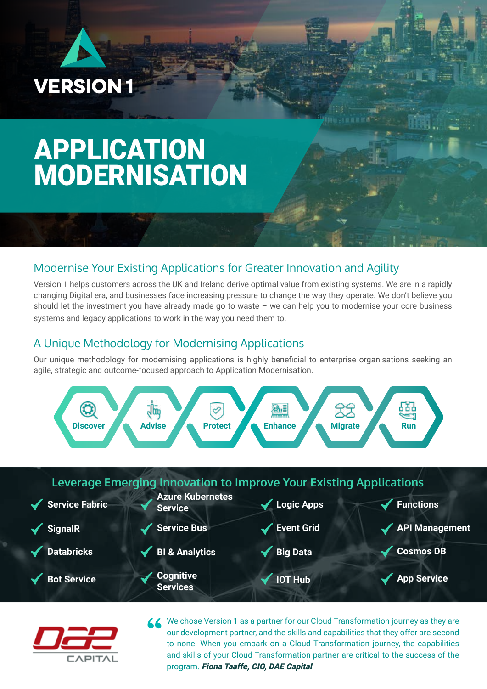

## APPLICATION MODERNISATION

## Modernise Your Existing Applications for Greater Innovation and Agility

Version 1 helps customers across the UK and Ireland derive optimal value from existing systems. We are in a rapidly changing Digital era, and businesses face increasing pressure to change the way they operate. We don't believe you should let the investment you have already made go to waste – we can help you to modernise your core business systems and legacy applications to work in the way you need them to.

## A Unique Methodology for Modernising Applications

Our unique methodology for modernising applications is highly beneficial to enterprise organisations seeking an agile, strategic and outcome-focused approach to Application Modernisation.





K We chose Version 1 as a partner for our Cloud Transformation journey as they are our development partner, and the skills and capabilities that they offer are second to none. When you embark on a Cloud Transformation journey, the capabilities and skills of your Cloud Transformation partner are critical to the success of the program. Fiona Taaffe, CIO, DAE Capital